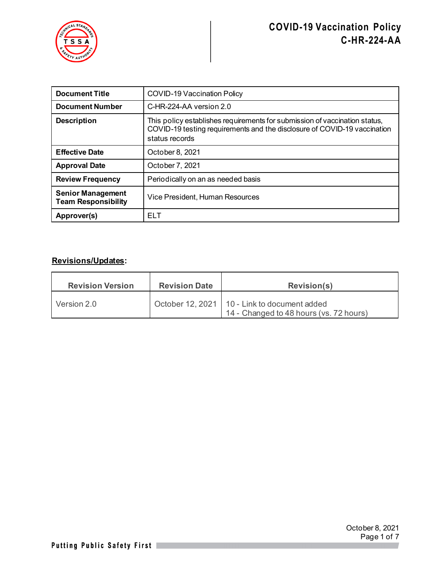

| <b>Document Title</b>                                  | <b>COVID-19 Vaccination Policy</b>                                                                                                                                       |  |
|--------------------------------------------------------|--------------------------------------------------------------------------------------------------------------------------------------------------------------------------|--|
| <b>Document Number</b>                                 | C-HR-224-AA version 2.0                                                                                                                                                  |  |
| <b>Description</b>                                     | This policy establishes requirements for submission of vaccination status,<br>COVID-19 testing requirements and the disclosure of COVID-19 vaccination<br>status records |  |
| <b>Effective Date</b>                                  | October 8, 2021                                                                                                                                                          |  |
| <b>Approval Date</b>                                   | October 7, 2021                                                                                                                                                          |  |
| <b>Review Frequency</b>                                | Periodically on an as needed basis                                                                                                                                       |  |
| <b>Senior Management</b><br><b>Team Responsibility</b> | Vice President, Human Resources                                                                                                                                          |  |
| Approver(s)                                            | ELT                                                                                                                                                                      |  |

#### **Revisions/Updates:**

| <b>Revision Version</b> | <b>Revision Date</b> | <b>Revision(s)</b>                                                                        |
|-------------------------|----------------------|-------------------------------------------------------------------------------------------|
| Version 2.0             |                      | October 12, 2021   10 - Link to document added<br>14 - Changed to 48 hours (vs. 72 hours) |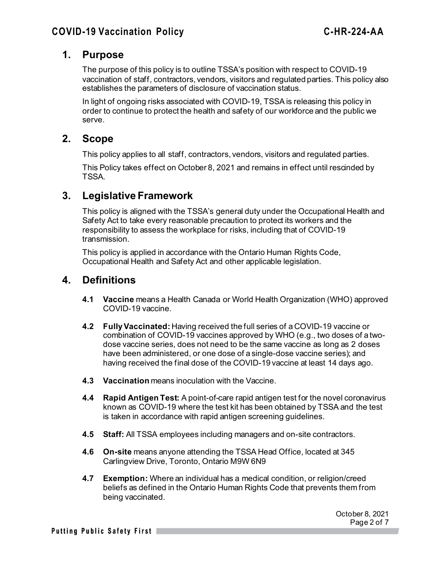## **1. Purpose**

The purpose of this policy is to outline TSSA's position with respect to COVID-19 vaccination of staff, contractors, vendors, visitors and regulated parties. This policy also establishes the parameters of disclosure of vaccination status.

In light of ongoing risks associated with COVID-19, TSSA is releasing this policy in order to continue to protect the health and safety of our workforce and the public we serve.

## **2. Scope**

This policy applies to all staff, contractors, vendors, visitors and regulated parties.

This Policy takes effect on October 8, 2021 and remains in effect until rescinded by TSSA.

# **3. Legislative Framework**

This policy is aligned with the TSSA's general duty under the Occupational Health and Safety Act to take every reasonable precaution to protect its workers and the responsibility to assess the workplace for risks, including that of COVID-19 transmission.

This policy is applied in accordance with the Ontario Human Rights Code, Occupational Health and Safety Act and other applicable legislation.

# **4. Definitions**

- **4.1 Vaccine** means a Health Canada or World Health Organization (WHO) approved COVID-19 vaccine.
- **4.2 Fully Vaccinated:** Having received the full series of a COVID-19 vaccine or combination of COVID-19 vaccines approved by WHO (e.g., two doses of a twodose vaccine series, does not need to be the same vaccine as long as 2 doses have been administered, or one dose of a single-dose vaccine series); and having received the final dose of the COVID-19 vaccine at least 14 days ago.
- **4.3 Vaccination** means inoculation with the Vaccine.
- **4.4 Rapid Antigen Test:** A point-of-care rapid antigen test for the novel coronavirus known as COVID-19 where the test kit has been obtained by TSSA and the test is taken in accordance with rapid antigen screening guidelines.
- **4.5 Staff:** All TSSA employees including managers and on-site contractors.
- **4.6 On-site** means anyone attending the TSSA Head Office, located at 345 Carlingview Drive, Toronto, Ontario M9W 6N9
- **4.7 Exemption:** Where an individual has a medical condition, or religion/creed beliefs as defined in the Ontario Human Rights Code that prevents them from being vaccinated.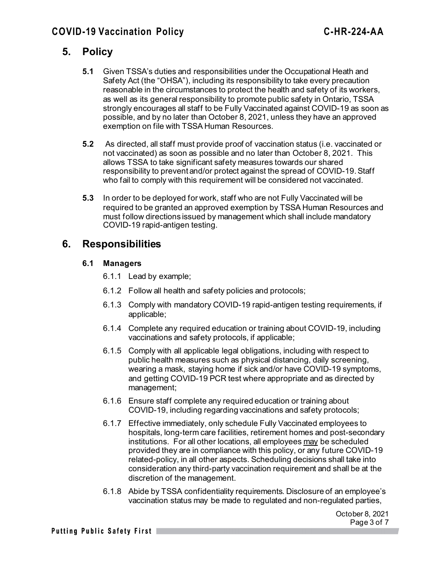# **5. Policy**

- **5.1** Given TSSA's duties and responsibilities under the Occupational Heath and Safety Act (the "OHSA"), including its responsibility to take every precaution reasonable in the circumstances to protect the health and safety of its workers, as well as its general responsibility to promote public safety in Ontario, TSSA strongly encourages all staff to be Fully Vaccinated against COVID-19 as soon as possible, and by no later than October 8, 2021, unless they have an approved exemption on file with TSSA Human Resources.
- **5.2** As directed, all staff must provide proof of vaccination status (i.e. vaccinated or not vaccinated) as soon as possible and no later than October 8, 2021. This allows TSSA to take significant safety measures towards our shared responsibility to prevent and/or protect against the spread of COVID-19.Staff who fail to comply with this requirement will be considered not vaccinated.
- **5.3** In order to be deployed for work, staff who are not Fully Vaccinated will be required to be granted an approved exemption by TSSA Human Resources and must follow directions issued by management which shall include mandatory COVID-19 rapid-antigen testing.

## **6. Responsibilities**

#### **6.1 Managers**

- 6.1.1 Lead by example;
- 6.1.2 Follow all health and safety policies and protocols;
- 6.1.3 Comply with mandatory COVID-19 rapid-antigen testing requirements, if applicable;
- 6.1.4 Complete any required education or training about COVID-19, including vaccinations and safety protocols, if applicable;
- 6.1.5 Comply with all applicable legal obligations, including with respect to public health measures such as physical distancing, daily screening, wearing a mask, staying home if sick and/or have COVID-19 symptoms, and getting COVID-19 PCR test where appropriate and as directed by management;
- 6.1.6 Ensure staff complete any required education or training about COVID-19, including regarding vaccinations and safety protocols;
- 6.1.7 Effective immediately, only schedule Fully Vaccinated employees to hospitals, long-term care facilities, retirement homes and post-secondary institutions. For all other locations, all employees may be scheduled provided they are in compliance with this policy, or any future COVID-19 related-policy, in all other aspects. Scheduling decisions shall take into consideration any third-party vaccination requirement and shall be at the discretion of the management.
- 6.1.8 Abide by TSSA confidentiality requirements. Disclosure of an employee's vaccination status may be made to regulated and non-regulated parties,

October 8, 2021 Page 3 of 7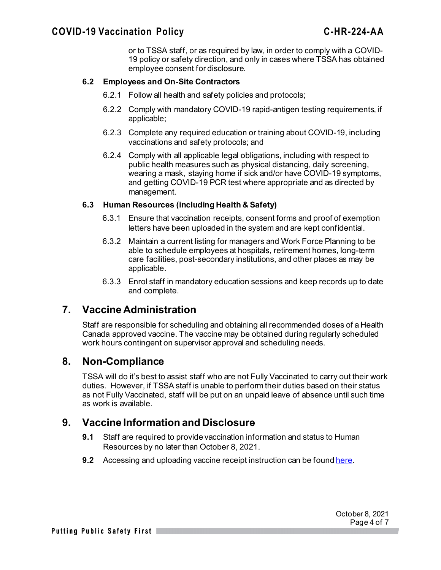or to TSSA staff, or as required by law, in order to comply with a COVID-19 policy or safety direction, and only in cases where TSSA has obtained employee consent for disclosure.

#### **6.2 Employees and On-Site Contractors**

- 6.2.1 Follow all health and safety policies and protocols;
- 6.2.2 Comply with mandatory COVID-19 rapid-antigen testing requirements, if applicable;
- 6.2.3 Complete any required education or training about COVID-19, including vaccinations and safety protocols; and
- 6.2.4 Comply with all applicable legal obligations, including with respect to public health measures such as physical distancing, daily screening, wearing a mask, staying home if sick and/or have COVID-19 symptoms, and getting COVID-19 PCR test where appropriate and as directed by management.

#### **6.3 Human Resources (including Health & Safety)**

- 6.3.1 Ensure that vaccination receipts, consent forms and proof of exemption letters have been uploaded in the system and are kept confidential.
- 6.3.2 Maintain a current listing for managers and Work Force Planning to be able to schedule employees at hospitals, retirement homes, long-term care facilities, post-secondary institutions, and other places as may be applicable.
- 6.3.3 Enrol staff in mandatory education sessions and keep records up to date and complete.

## **7. Vaccine Administration**

Staff are responsible for scheduling and obtaining all recommended doses of a Health Canada approved vaccine. The vaccine may be obtained during regularly scheduled work hours contingent on supervisor approval and scheduling needs.

## **8. Non-Compliance**

TSSA will do it's best to assist staff who are not Fully Vaccinated to carry out their work duties. However, if TSSA staff is unable to perform their duties based on their status as not Fully Vaccinated, staff will be put on an unpaid leave of absence until such time as work is available.

## **9. Vaccine Information and Disclosure**

- **9.1** Staff are required to provide vaccination information and status to Human Resources by no later than October 8, 2021.
- **9.2** Accessing and uploading vaccine receipt instruction can be found [here](https://iconnect.tssa.org/LatestNews/tabid/92/ArticleID/2666/COVID-19-Information-and-Resources-Hub.aspx).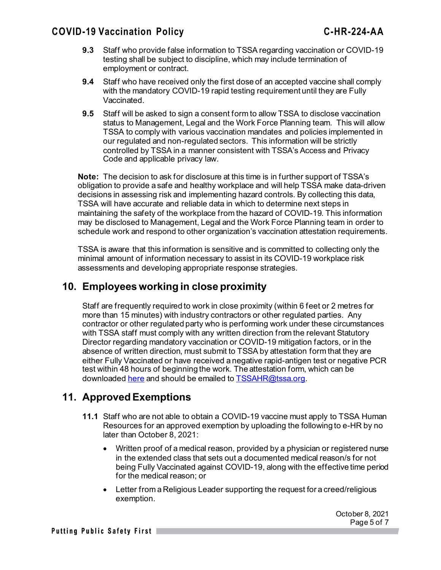## **COVID-19 Vaccination Policy C-HR-224-AA**

- **9.3** Staff who provide false information to TSSA regarding vaccination or COVID-19 testing shall be subject to discipline, which may include termination of employment or contract.
- **9.4** Staff who have received only the first dose of an accepted vaccine shall comply with the mandatory COVID-19 rapid testing requirement until they are Fully Vaccinated.
- **9.5** Staff will be asked to sign a consent form to allow TSSA to disclose vaccination status to Management, Legal and the Work Force Planning team. This will allow TSSA to comply with various vaccination mandates and policies implemented in our regulated and non-regulated sectors. This information will be strictly controlled by TSSA in a manner consistent with TSSA's Access and Privacy Code and applicable privacy law.

**Note:** The decision to ask for disclosure at this time is in further support of TSSA's obligation to provide a safe and healthy workplace and will help TSSA make data-driven decisions in assessing risk and implementing hazard controls. By collecting this data, TSSA will have accurate and reliable data in which to determine next steps in maintaining the safety of the workplace from the hazard of COVID-19. This information may be disclosed to Management, Legal and the Work Force Planning team in order to schedule work and respond to other organization's vaccination attestation requirements.

TSSA is aware that this information is sensitive and is committed to collecting only the minimal amount of information necessary to assist in its COVID-19 workplace risk assessments and developing appropriate response strategies.

## **10. Employees working in close proximity**

Staff are frequently required to work in close proximity (within 6 feet or 2 metres for more than 15 minutes) with industry contractors or other regulated parties. Any contractor or other regulated party who is performing work under these circumstances with TSSA staff must comply with any written direction from the relevant Statutory Director regarding mandatory vaccination or COVID-19 mitigation factors, or in the absence of written direction, must submit to TSSA by attestation form that they are either Fully Vaccinated or have received a negative rapid-antigen test or negative PCR test within 48 hours of beginning the work. The attestation form, which can be downloaded [here](https://www.tssa.org/en/elevating-devices/resources/2021-10-15-Letter-of-Attestation-for-Compliance---COVID-19.pdf) and should be emailed to [TSSAHR@tssa.org.](mailto:TSSAHR@tssa.org)

## **11. Approved Exemptions**

- **11.1** Staff who are not able to obtain a COVID-19 vaccine must apply to TSSA Human Resources for an approved exemption by uploading the following to e-HR by no later than October 8, 2021:
	- Written proof of a medical reason, provided by a physician or registered nurse in the extended class that sets out a documented medical reason/s for not being Fully Vaccinated against COVID-19, along with the effective time period for the medical reason; or
	- Letter from a Religious Leader supporting the request for a creed/religious exemption.

October 8, 2021 Page 5 of 7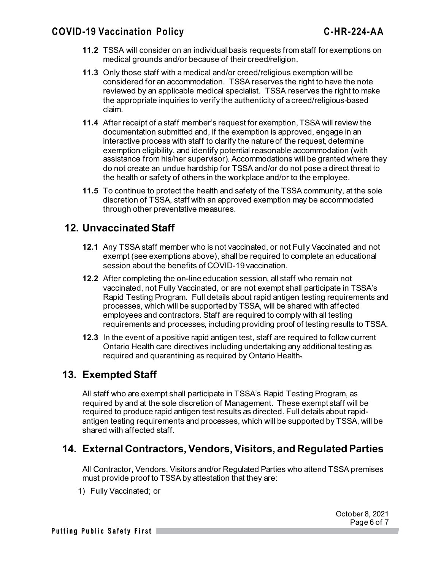## **COVID-19 Vaccination Policy C-HR-224-AA**

- **11.2** TSSA will consider on an individual basis requests from staff for exemptions on medical grounds and/or because of their creed/religion.
- **11.3** Only those staff with a medical and/or creed/religious exemption will be considered for an accommodation. TSSA reserves the right to have the note reviewed by an applicable medical specialist. TSSA reserves the right to make the appropriate inquiries to verify the authenticity of a creed/religious-based claim.
- **11.4** After receipt of a staff member's request for exemption, TSSA will review the documentation submitted and, if the exemption is approved, engage in an interactive process with staff to clarify the nature of the request, determine exemption eligibility, and identify potential reasonable accommodation (with assistance from his/her supervisor). Accommodations will be granted where they do not create an undue hardship for TSSA and/or do not pose a direct threat to the health or safety of others in the workplace and/or to the employee.
- **11.5** To continue to protect the health and safety of the TSSA community, at the sole discretion of TSSA, staff with an approved exemption may be accommodated through other preventative measures.

## **12. Unvaccinated Staff**

- **12.1** Any TSSA staff member who is not vaccinated, or not Fully Vaccinated and not exempt (see exemptions above), shall be required to complete an educational session about the benefits of COVID-19 vaccination.
- **12.2** After completing the on-line education session, all staff who remain not vaccinated, not Fully Vaccinated, or are not exempt shall participate in TSSA's Rapid Testing Program. Full details about rapid antigen testing requirements and processes, which will be supported by TSSA, will be shared with affected employees and contractors. Staff are required to comply with all testing requirements and processes, including providing proof of testing results to TSSA.
- **12.3** In the event of a positive rapid antigen test, staff are required to follow current Ontario Health care directives including undertaking any additional testing as required and quarantining as required by Ontario Health.

## **13. Exempted Staff**

All staff who are exempt shall participate in TSSA's Rapid Testing Program, as required by and at the sole discretion of Management. These exempt staff will be required to produce rapid antigen test results as directed. Full details about rapidantigen testing requirements and processes, which will be supported by TSSA, will be shared with affected staff.

## **14. External Contractors, Vendors, Visitors, and Regulated Parties**

All Contractor, Vendors, Visitors and/or Regulated Parties who attend TSSA premises must provide proof to TSSA by attestation that they are:

1) Fully Vaccinated; or